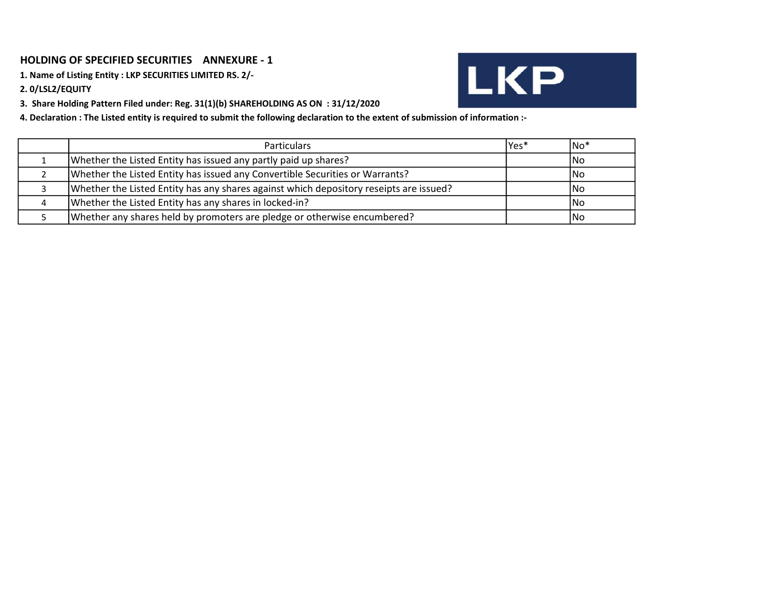# HOLDING OF SPECIFIED SECURITIES ANNEXURE - 1

1. Name of Listing Entity : LKP SECURITIES LIMITED RS. 2/-

2. 0/LSL2/EQUITY

3. Share Holding Pattern Filed under: Reg. 31(1)(b) SHAREHOLDING AS ON : 31/12/2020

4. Declaration : The Listed entity is required to submit the following declaration to the extent of submission of information :-

| <b>Particulars</b>                                                                     | lYes* | $ No*$     |
|----------------------------------------------------------------------------------------|-------|------------|
| Whether the Listed Entity has issued any partly paid up shares?                        |       | No         |
| Whether the Listed Entity has issued any Convertible Securities or Warrants?           |       | INo.       |
| Whether the Listed Entity has any shares against which depository reseipts are issued? |       | INo.       |
| Whether the Listed Entity has any shares in locked-in?                                 |       | <b>INo</b> |
| Whether any shares held by promoters are pledge or otherwise encumbered?               |       | lNo        |

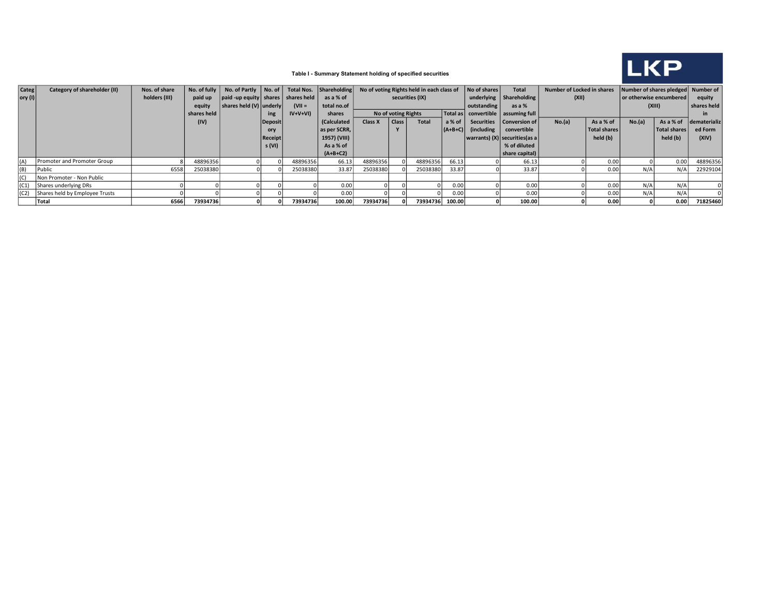

### Table I - Summary Statement holding of specified securities

| Categ       | Category of shareholder (II)   | Nos. of share |             | No. of fully $\vert$ No. of Partly $\vert$ No. of $\vert$ |         |           | Total Nos. Shareholding | No of voting Rights held in each class of |                     | No of shares    | <b>Total</b> | Number of Locked in shares             |                                    | Number of shares pledged Number of |              |                         |              |              |
|-------------|--------------------------------|---------------|-------------|-----------------------------------------------------------|---------|-----------|-------------------------|-------------------------------------------|---------------------|-----------------|--------------|----------------------------------------|------------------------------------|------------------------------------|--------------|-------------------------|--------------|--------------|
| $ $ ory (I) |                                | holders (III) | paid up     | $ $ paid -up equity $ $ shares $ $ shares held $ $        |         |           | as a % of               |                                           |                     | securities (IX) |              |                                        | underlying $\vert$ Shareholding    | (XII)                              |              | or otherwise encumbered |              | equity       |
|             |                                |               | equity      | shares held $(V)$ underly                                 |         | $(VII =$  | total no.of             |                                           |                     |                 |              | outstanding                            | as a %                             |                                    |              | (XIII)                  |              | shares held  |
|             |                                |               | shares held |                                                           | ing     | $IV+V+VI$ | shares                  |                                           | No of voting Rights |                 |              | Total as   convertible   assuming full |                                    |                                    |              |                         |              |              |
|             |                                |               | (IV)        |                                                           | Deposit |           | (Calculated             | Class X                                   | Class               | <b>Total</b>    | a% of        |                                        | Securities   Conversion of         | No.(a)                             | As a % of    | No.(a)                  | As a % of    | dematerializ |
|             |                                |               |             |                                                           | ory     |           | as per SCRR,            |                                           |                     |                 |              | $  (A+B+C)  $ (including               | convertible                        |                                    | Total shares |                         | Total shares | ed Form      |
|             |                                |               |             |                                                           | Receipt |           | 1957) (VIII)            |                                           |                     |                 |              |                                        | warrants) $(X)$   securities (as a |                                    | held (b)     |                         | held (b)     | (XIV)        |
|             |                                |               |             |                                                           | s (VI)  |           | As a % of               |                                           |                     |                 |              |                                        | % of diluted                       |                                    |              |                         |              |              |
|             |                                |               |             |                                                           |         |           | $(A+B+C2)$              |                                           |                     |                 |              |                                        | share capital)                     |                                    |              |                         |              |              |
| (A)         | Promoter and Promoter Group    |               | 48896356    |                                                           |         | 48896356  | 66.13                   | 48896356                                  |                     | 48896356        | 66.13        |                                        | 66.13                              |                                    | 0.00         |                         | 0.00         | 48896356     |
| (B)         | <b>Public</b>                  | 6558          | 25038380    |                                                           |         | 25038380  | 33.87                   | 25038380                                  |                     | 25038380        | 33.87        |                                        | 33.87                              |                                    | 0.00         | N/A                     | N/A          | 22929104     |
| (C)         | Non Promoter - Non Public      |               |             |                                                           |         |           |                         |                                           |                     |                 |              |                                        |                                    |                                    |              |                         |              |              |
| (C1)        | Shares underlying DRs          |               |             |                                                           |         |           | 0.00                    |                                           |                     |                 | 0.00         |                                        | 0.00                               |                                    | 0.00         | N/A                     | N/A          |              |
| (C2)        | Shares held by Employee Trusts |               |             |                                                           |         |           | 0.00                    |                                           |                     |                 | 0.00         |                                        | 0.00                               |                                    | 0.00         | N/A                     | N/A          |              |
|             | <b>Total</b>                   | 6566          | 73934736    |                                                           |         | 73934736  | 100.00                  | 73934736                                  |                     | 73934736 100.00 |              |                                        | 100.00                             |                                    | 0.00         |                         | 0.00         | 71825460     |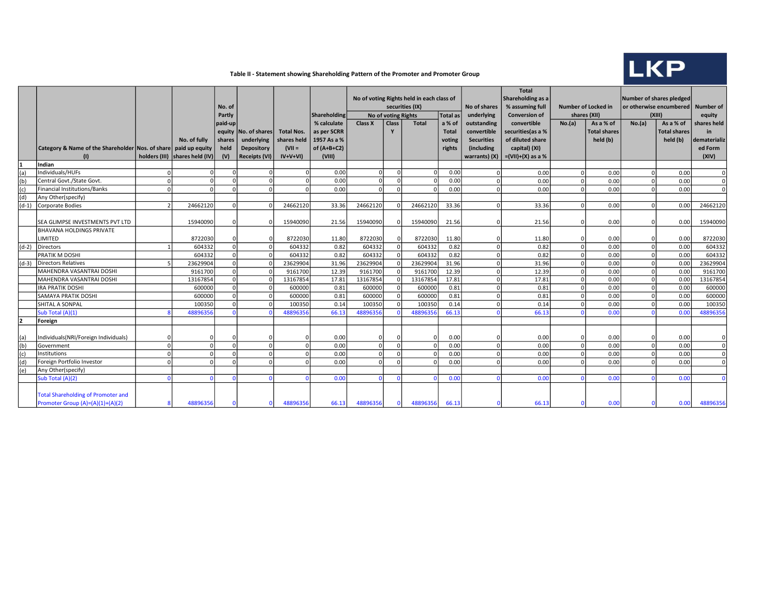

## Table II - Statement showing Shareholding Pattern of the Promoter and Promoter Group

|         |                                                  |               |                  |         |                      |                   |               |                                           |                     |              |              |                   | <b>Total</b>         |          |                            |                          |                         |                  |
|---------|--------------------------------------------------|---------------|------------------|---------|----------------------|-------------------|---------------|-------------------------------------------|---------------------|--------------|--------------|-------------------|----------------------|----------|----------------------------|--------------------------|-------------------------|------------------|
|         |                                                  |               |                  |         |                      |                   |               | No of voting Rights held in each class of |                     |              |              | Shareholding as a |                      |          |                            | Number of shares pledged |                         |                  |
|         |                                                  |               |                  | No. of  |                      |                   |               |                                           | securities (IX)     |              |              | No of shares      | % assuming full      |          | <b>Number of Locked in</b> |                          | or otherwise encumbered | <b>Number of</b> |
|         |                                                  |               |                  | Partly  |                      |                   | Shareholding  |                                           | No of voting Rights |              | Total as     | underlying        | <b>Conversion of</b> |          | shares (XII)               | (XIII)                   |                         | equity           |
|         |                                                  |               |                  | paid-up |                      |                   | % calculate   | <b>Class X</b>                            | <b>Class</b>        | <b>Total</b> | a % of       | outstanding       | convertible          | No.(a)   | As a % of                  | No.(a)                   | As a % of               | shares held      |
|         |                                                  |               |                  | equity  | No. of shares        | <b>Total Nos.</b> | as per SCRR   |                                           |                     |              | <b>Total</b> | convertible       | securities (as a %   |          | <b>Total shares</b>        |                          | <b>Total shares</b>     | in               |
|         |                                                  |               | No. of fully     | shares  | underlying           | shares held       | 1957 As a %   |                                           |                     |              | voting       | <b>Securities</b> | of diluted share     |          | held (b)                   |                          | held (b)                | dematerializ     |
|         | Category & Name of the Shareholder Nos. of share |               | paid up equity   | held    | Depository           | $(VII =$          | of $(A+B+C2)$ |                                           |                     |              | rights       | (including        | capital) (XI)        |          |                            |                          |                         | ed Form          |
|         | (1)                                              | holders (III) | shares held (IV) | (V)     | <b>Receipts (VI)</b> | $IV+V+VI)$        | (VIII)        |                                           |                     |              |              | warrants) (X)     | $=(VII)+(X)$ as a %  |          |                            |                          |                         | (XIV)            |
|         | Indian                                           |               |                  |         |                      |                   |               |                                           |                     |              |              |                   |                      |          |                            |                          |                         |                  |
| (a)     | Individuals/HUFs                                 |               |                  |         |                      | $\Omega$          | 0.00          | ΩI                                        | $\Omega$            |              | 0.00         |                   | 0.00                 | $\Omega$ | 0.00                       |                          | 0.00                    |                  |
| (b)     | Central Govt./State Govt.                        |               |                  |         |                      | $\Omega$          | 0.00          | $\Omega$                                  |                     |              | 0.00         | $\Omega$          | 0.00                 | $\Omega$ | 0.00                       |                          | 0.00                    | $\Omega$         |
| (c)     | Financial Institutions/Banks                     |               |                  |         | $\Omega$             | $\Omega$          | 0.00          | $\Omega$                                  | $\Omega$            |              | 0.00         | $\Omega$          | 0.00                 | $\Omega$ | 0.00                       |                          | 0.00                    | $\Omega$         |
| (d)     | Any Other(specify)                               |               |                  |         |                      |                   |               |                                           |                     |              |              |                   |                      |          |                            |                          |                         |                  |
| $(d-1)$ | Corporate Bodies                                 |               | 24662120         |         | $\Omega$             | 24662120          | 33.36         | 24662120                                  | $\Omega$            | 24662120     | 33.36        |                   | 33.36                | $\Omega$ | 0.00                       | $\Omega$                 | 0.00                    | 24662120         |
|         |                                                  |               |                  |         |                      |                   |               |                                           |                     |              |              |                   |                      |          |                            |                          |                         |                  |
|         | SEA GLIMPSE INVESTMENTS PVT LTD                  |               | 15940090         |         | $\Omega$             | 15940090          | 21.56         | 15940090                                  |                     | 15940090     | 21.56        |                   | 21.56                | n        | 0.00                       |                          | 0.00                    | 15940090         |
|         | <b>BHAVANA HOLDINGS PRIVATE</b>                  |               |                  |         |                      |                   |               |                                           |                     |              |              |                   |                      |          |                            |                          |                         |                  |
|         | <b>LIMITED</b>                                   |               | 8722030          |         |                      | 8722030           | 11.80         | 8722030                                   | $\Omega$            | 8722030      | 11.80        |                   | 11.80                | 0        | 0.00                       |                          | 0.00                    | 8722030          |
| $(d-2)$ | Directors                                        |               | 604332           |         | $\Omega$             | 604332            | 0.82          | 604332                                    | $\circ$             | 604332       | 0.82         | $\Omega$          | 0.82                 | $\Omega$ | 0.00                       | $\Omega$                 | 0.00                    | 604332           |
|         | PRATIK M DOSHI                                   |               | 604332           |         | $\Omega$             | 604332            | 0.82          | 604332                                    | $\circ$             | 604332       | 0.82         | $\Omega$          | 0.82                 | $\Omega$ | 0.00                       | $\Omega$                 | 0.00                    | 604332           |
| $(d-3)$ | Directors Relatives                              |               | 23629904         |         | $\Omega$             | 23629904          | 31.96         | 23629904                                  | $\Omega$            | 23629904     | 31.96        | $\Omega$          | 31.96                | 0        | 0.00                       | $\Omega$                 | 0.00                    | 23629904         |
|         | MAHENDRA VASANTRAI DOSHI                         |               | 9161700          |         | $\Omega$             | 9161700           | 12.39         | 9161700                                   | $\Omega$            | 9161700      | 12.39        | $\Omega$          | 12.39                | $\Omega$ | 0.00                       | $\Omega$                 | 0.00                    | 9161700          |
|         | MAHENDRA VASANTRAI DOSHI                         |               | 13167854         |         | $\sqrt{ }$           | 13167854          | 17.81         | 13167854                                  |                     | 13167854     | 17.81        | $\Omega$          | 17.81                | $\Omega$ | 0.00                       | $\Omega$                 | 0.00                    | 13167854         |
|         | <b>IRA PRATIK DOSHI</b>                          |               | 600000           |         | $\Omega$             | 600000            | 0.81          | 600000                                    | 0                   | 600000       | 0.81         | $\Omega$          | 0.81                 | $\Omega$ | 0.00                       |                          | 0.00                    | 600000           |
|         | SAMAYA PRATIK DOSHI                              |               | 600000           |         | $\Omega$             | 600000            | 0.81          | 600000                                    | $\circ$             | 600000       | 0.81         | $\Omega$          | 0.81                 | $\Omega$ | 0.00                       | $\Omega$                 | 0.00                    | 600000           |
|         | SHITAL A SONPAL                                  |               | 100350           |         | $\Omega$             | 100350            | 0.14          | 100350                                    | $\circ$             | 100350       | 0.14         | $\Omega$          | 0.14                 |          | 0.00                       | $\Omega$                 | 0.00                    | 100350           |
|         | Sub Total (A)(1)                                 |               | 48896356         |         |                      | 48896356          | 66.13         | 48896356                                  |                     | 48896356     | 66.13        |                   | 66.13                |          | 0.00                       |                          | 0.00                    | 48896356         |
| 12      | Foreign                                          |               |                  |         |                      |                   |               |                                           |                     |              |              |                   |                      |          |                            |                          |                         |                  |
|         |                                                  |               |                  |         |                      |                   |               |                                           |                     |              |              |                   |                      |          |                            |                          |                         |                  |
| (a)     | Individuals(NRI/Foreign Individuals)             |               |                  |         |                      | 0                 | 0.00          |                                           |                     | $\Omega$     | 0.00         |                   | 0.00                 | n        | 0.00                       |                          | 0.00                    | $\Omega$         |
| (b)     | Government                                       |               |                  |         | $\Omega$             | $\Omega$          | 0.00          | $\Omega$                                  | $\Omega$            |              | 0.00         | $\Omega$          | 0.00                 | $\Omega$ | 0.00                       |                          | 0.00                    | $\Omega$         |
| (c)     | Institutions                                     |               |                  |         | $\Omega$             | $\Omega$          | 0.00          | $\Omega$                                  | $\Omega$            |              | 0.00         | $\Omega$          | 0.00                 | $\Omega$ | 0.00                       |                          | 0.00                    | $\Omega$         |
| (d)     | Foreign Portfolio Investor                       |               |                  |         | $\Omega$             | $\Omega$          | 0.00          | $\Omega$                                  | $\Omega$            |              | 0.00         | $\Omega$          | 0.00                 | $\Omega$ | 0.00                       |                          | 0.00                    | $\Omega$         |
| (e)     | Any Other(specify)                               |               |                  |         |                      |                   |               |                                           |                     |              |              |                   |                      |          |                            |                          |                         |                  |
|         | Sub Total (A)(2)                                 |               |                  |         |                      | $\Omega$          | 0.00          | $\Omega$                                  | $\Omega$            |              | 0.00         |                   | 0.00                 |          | 0.00                       |                          | 0.00                    |                  |
|         |                                                  |               |                  |         |                      |                   |               |                                           |                     |              |              |                   |                      |          |                            |                          |                         |                  |
|         | <b>Total Shareholding of Promoter and</b>        |               |                  |         |                      |                   |               |                                           |                     |              |              |                   |                      |          |                            |                          |                         |                  |
|         | Promoter Group (A)=(A)(1)+(A)(2)                 |               | 48896356         |         | $\Omega$             | 48896356          | 66.13         | 48896356                                  | $\Omega$            | 48896356     | 66.13        |                   | 66.13                |          | 0.00                       |                          | 0.00                    | 48896356         |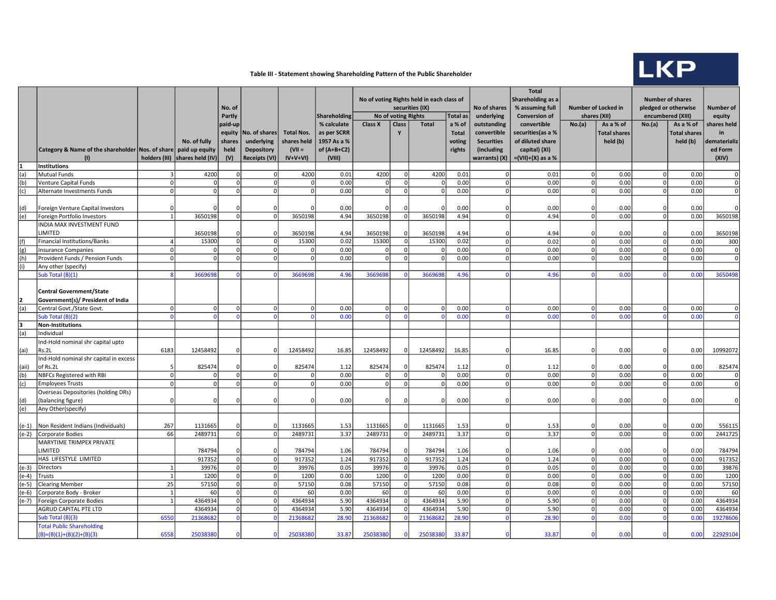

## Table III - Statement showing Shareholding Pattern of the Public Shareholder

|              |                                                                      |                |                                | No. of                                        |                                           |                                              |                                                                            | No of voting Rights held in each class of<br>securities (IX)<br>No of voting Rights |                   |              |                                                               | No of shares                                                                | <b>Total</b><br>Shareholding as a<br>% assuming full                                           |                | <b>Number of Locked in</b>                                   |                | <b>Number of shares</b><br>pledged or otherwise                   | <b>Number of</b>                                       |
|--------------|----------------------------------------------------------------------|----------------|--------------------------------|-----------------------------------------------|-------------------------------------------|----------------------------------------------|----------------------------------------------------------------------------|-------------------------------------------------------------------------------------|-------------------|--------------|---------------------------------------------------------------|-----------------------------------------------------------------------------|------------------------------------------------------------------------------------------------|----------------|--------------------------------------------------------------|----------------|-------------------------------------------------------------------|--------------------------------------------------------|
|              | Category & Name of the shareholder Nos. of share paid up equity      |                | No. of fully                   | Partly<br>paid-up<br>equity<br>shares<br>held | No. of shares<br>underlying<br>Depository | <b>Total Nos.</b><br>shares held<br>$(VII =$ | Shareholding<br>% calculate<br>as per SCRR<br>1957 As a %<br>of $(A+B+C2)$ | Class X                                                                             | <b>Class</b><br>Y | <b>Total</b> | <b>Total</b> as<br>a % of<br><b>Total</b><br>voting<br>rights | underlying<br>outstanding<br>convertible<br><b>Securities</b><br>(including | <b>Conversion of</b><br>convertible<br>securities (as a %<br>of diluted share<br>capital) (XI) | No.(a)         | shares (XII)<br>As a % of<br><b>Total shares</b><br>held (b) | No.(a)         | encumbered (XIII)<br>As a % of<br><b>Total shares</b><br>held (b) | equity<br>shares held<br>in<br>dematerializ<br>ed Form |
|              | (1)                                                                  |                | holders (III) shares held (IV) | (V)                                           | Receipts (VI)                             | $IV+V+VI$                                    | (VIII)                                                                     |                                                                                     |                   |              |                                                               | warrants) (X)                                                               | $=(VII)+(X)$ as a %                                                                            |                |                                                              |                |                                                                   | (XIV)                                                  |
| 1            | <b>Institutions</b>                                                  |                |                                |                                               |                                           |                                              |                                                                            |                                                                                     |                   |              |                                                               |                                                                             |                                                                                                |                |                                                              |                |                                                                   |                                                        |
| (a)          | <b>Mutual Funds</b>                                                  | $\mathbf{3}$   | 4200                           |                                               | $\overline{0}$                            | 4200                                         | 0.01                                                                       | 4200                                                                                | 0l                | 4200         | 0.01                                                          | 0                                                                           | 0.01                                                                                           | $\Omega$       | 0.00                                                         | $\Omega$       | 0.00                                                              | $\Omega$                                               |
| (b)          | Venture Capital Funds                                                | $\Omega$       | $\Omega$                       |                                               | $\overline{0}$                            | $\Omega$                                     | 0.00                                                                       | $\overline{0}$                                                                      | 0                 |              | 0.00                                                          | <sup>0</sup>                                                                | 0.00                                                                                           | $\Omega$       | 0.00                                                         | $\Omega$       | 0.00                                                              | $\Omega$                                               |
| (c)          | Alternate Investments Funds                                          | $\Omega$       | $\Omega$                       | $\Omega$                                      | $\circ$                                   | ΩI                                           | 0.00                                                                       | $\overline{0}$                                                                      | 0l                | $\Omega$     | 0.00                                                          | 0                                                                           | 0.00                                                                                           | $\Omega$       | 0.00                                                         | $\overline{0}$ | 0.00                                                              | $\Omega$                                               |
| (d)          | Foreign Venture Capital Investors                                    | $\Omega$       |                                |                                               | $\Omega$                                  |                                              | 0.00                                                                       |                                                                                     |                   |              | 0.00                                                          | $\Omega$                                                                    | 0.00                                                                                           |                | 0.00                                                         | $\epsilon$     | 0.00                                                              | $\Omega$                                               |
| (e)          | Foreign Portfolio Investors                                          | 1              | 3650198                        | $\Omega$                                      | 0                                         | 3650198                                      | 4.94                                                                       | 3650198                                                                             | 0l                | 3650198      | 4.94                                                          | $\Omega$                                                                    | 4.94                                                                                           | $\Omega$       | 0.00                                                         | $\Omega$       | 0.00                                                              | 3650198                                                |
|              | INDIA MAX INVESTMENT FUND<br>LIMITED                                 |                | 3650198                        |                                               | 0                                         | 3650198                                      | 4.94                                                                       | 3650198                                                                             |                   | 3650198      | 4.94                                                          | $\Omega$                                                                    | 4.94                                                                                           |                | 0.00                                                         | $\sqrt{ }$     | 0.00                                                              | 3650198                                                |
| (f)          | Financial Institutions/Banks                                         | $\overline{4}$ | 15300                          |                                               | $\circ$                                   | 15300                                        | 0.02                                                                       | 15300                                                                               | 0                 | 15300        | 0.02                                                          | $\Omega$                                                                    | 0.02                                                                                           |                | 0.00                                                         | $\Omega$       | 0.00                                                              | 300                                                    |
| (g)          | <b>Insurance Companies</b>                                           | <sup>o</sup>   | $\Omega$                       | $\Omega$                                      | $\circ$                                   | $\Omega$                                     | 0.00                                                                       | $\mathbf 0$                                                                         | 0                 |              | 0.00                                                          | $\circ$                                                                     | 0.00                                                                                           | $\Omega$       | 0.00                                                         | $\mathbf 0$    | 0.00                                                              | $\overline{0}$                                         |
| (h)          | Provident Funds / Pension Funds                                      | 0              | $\Omega$                       | $\Omega$                                      | $\Omega$                                  | ΩI                                           | 0.00                                                                       | $\Omega$                                                                            | $\Omega$          |              | 0.00                                                          | $\Omega$                                                                    | 0.00                                                                                           | $\Omega$       | 0.00                                                         | $\Omega$       | 0.00                                                              | $\Omega$                                               |
| (i)          | Any other (specify)                                                  |                |                                |                                               |                                           |                                              |                                                                            |                                                                                     |                   |              |                                                               |                                                                             |                                                                                                |                |                                                              |                |                                                                   |                                                        |
|              | Sub Total (B)(1)                                                     |                | 3669698                        |                                               | $\Omega$                                  | 366969                                       | 4.96                                                                       | 366969                                                                              |                   | 366969       | 4.96                                                          | $\Omega$                                                                    | 4.96                                                                                           |                | 0.00                                                         |                | 0.00                                                              | 3650498                                                |
| 2            | <b>Central Government/State</b><br>Government(s)/ President of India |                |                                |                                               |                                           |                                              |                                                                            |                                                                                     |                   |              |                                                               |                                                                             |                                                                                                |                |                                                              |                |                                                                   |                                                        |
| (a)          | Central Govt./State Govt.                                            | $\Omega$       | $\Omega$                       |                                               | 0                                         | $\Omega$                                     | 0.00                                                                       | 0l                                                                                  | 0l                |              | 0.00                                                          | $\Omega$                                                                    | 0.00                                                                                           | $\Omega$       | 0.00                                                         | $\Omega$       | 0.00                                                              | $\Omega$                                               |
|              | Sub Total (B)(2)                                                     | $\Omega$       | n                              |                                               | $\overline{0}$                            | $\Omega$                                     | 0.00                                                                       | $\overline{0}$                                                                      |                   |              | 0.00                                                          | $\Omega$                                                                    | 0.00                                                                                           |                | 0.00                                                         | C              | 0.00                                                              |                                                        |
| 3            | <b>Non-Institutions</b>                                              |                |                                |                                               |                                           |                                              |                                                                            |                                                                                     |                   |              |                                                               |                                                                             |                                                                                                |                |                                                              |                |                                                                   |                                                        |
| (a)          | Individual                                                           |                |                                |                                               |                                           |                                              |                                                                            |                                                                                     |                   |              |                                                               |                                                                             |                                                                                                |                |                                                              |                |                                                                   |                                                        |
|              | Ind-Hold nominal shr capital upto                                    |                |                                |                                               |                                           |                                              |                                                                            |                                                                                     |                   |              |                                                               |                                                                             |                                                                                                |                |                                                              |                |                                                                   |                                                        |
| (ai)         | Rs.2L                                                                | 6183           | 12458492                       | $\Omega$                                      | $\Omega$                                  | 12458492                                     | 16.85                                                                      | 12458492                                                                            | 0 I               | 12458492     | 16.85                                                         | $\Omega$                                                                    | 16.85                                                                                          | $\Omega$       | 0.00                                                         | $\Omega$       | 0.00                                                              | 10992072                                               |
|              | Ind-Hold nominal shr capital in excess<br>of Rs.2L                   |                | 825474                         | $\Omega$                                      | $\Omega$                                  | 825474                                       | 1.12                                                                       | 825474                                                                              |                   | 825474       | 1.12                                                          | $\Omega$                                                                    | 1.12                                                                                           |                | 0.00                                                         | $\epsilon$     | 0.00                                                              | 825474                                                 |
| (aii)<br>(b) | NBFCs Registered with RBI                                            | 0              | $\Omega$                       | $\Omega$                                      | $\circ$                                   | $\Omega$                                     | 0.00                                                                       | $\overline{0}$                                                                      | 0                 |              | 0.00                                                          | 0                                                                           | 0.00                                                                                           | $\Omega$       | 0.00                                                         | $\Omega$       | 0.00                                                              | $\Omega$                                               |
| (c)          | <b>Employees Trusts</b>                                              | $\Omega$       | O                              |                                               | 0                                         | $\Omega$                                     | 0.00                                                                       | $\overline{0}$                                                                      | ol                |              | 0.00                                                          | $\Omega$                                                                    | 0.00                                                                                           |                | 0.00                                                         | $\Omega$       | 0.00                                                              | $\Omega$                                               |
|              | Overseas Depositories (holding DRs)                                  |                |                                |                                               |                                           |                                              |                                                                            |                                                                                     |                   |              |                                                               |                                                                             |                                                                                                |                |                                                              |                |                                                                   |                                                        |
| (d)          | (balancing figure)                                                   | $\Omega$       | ŋ                              | $\Omega$                                      | $\Omega$                                  | $\Omega$                                     | 0.00                                                                       | $\Omega$                                                                            |                   |              | 0.00                                                          | $\Omega$                                                                    | 0.00                                                                                           | $\Omega$       | 0.00                                                         | $\Omega$       | 0.00                                                              | $\overline{0}$                                         |
| (e)          | Any Other(specify)                                                   |                |                                |                                               |                                           |                                              |                                                                            |                                                                                     |                   |              |                                                               |                                                                             |                                                                                                |                |                                                              |                |                                                                   |                                                        |
| $(e-1)$      | Non Resident Indians (Individuals)                                   | 267            | 1131665                        | $\Omega$                                      | 0                                         | 1131665                                      | 1.53                                                                       | 1131665                                                                             | $\Omega$          | 1131665      | 1.53                                                          | $\Omega$                                                                    | 1.53                                                                                           | $\Omega$       | 0.00                                                         | $\Omega$       | 0.00                                                              | 556115                                                 |
| $(e-2)$      | <b>Corporate Bodies</b>                                              | 66             | 2489731                        | $\Omega$                                      | $\circ$                                   | 2489731                                      | 3.37                                                                       | 2489731                                                                             | 0                 | 2489731      | 3.37                                                          | 0                                                                           | 3.37                                                                                           | $\Omega$       | 0.00                                                         | $\Omega$       | 0.00                                                              | 2441725                                                |
|              | MARYTIME TRIMPEX PRIVATE<br>LIMITED                                  |                | 784794                         | 0                                             | 0                                         | 784794                                       | 1.06                                                                       | 784794                                                                              |                   | 784794       | 1.06                                                          | $\Omega$                                                                    | 1.06                                                                                           |                | 0.00                                                         | C              | 0.00                                                              | 784794                                                 |
|              | HAS LIFESTYLE LIMITED                                                |                | 917352                         | $\Omega$                                      | $\circ$                                   | 917352                                       | 1.24                                                                       | 917352                                                                              | 0                 | 917352       | 1.24                                                          | $\mathbf 0$                                                                 | 1.24                                                                                           | $\Omega$       | 0.00                                                         | $\Omega$       | 0.00                                                              | 917352                                                 |
| $(e-3)$      | Directors                                                            | $1\vert$       | 39976                          | $\Omega$                                      | $\circ$                                   | 39976                                        | 0.05                                                                       | 39976                                                                               | 0                 | 39976        | 0.05                                                          | 0                                                                           | 0.05                                                                                           | $\Omega$       | 0.00                                                         | $\overline{0}$ | 0.00                                                              | 39876                                                  |
| $(e-4)$      | Trusts                                                               | $1\vert$       | 1200                           | $\Omega$                                      | $\circ$                                   | 1200                                         | 0.00                                                                       | 1200                                                                                | 0                 | 1200         | 0.00                                                          | 0                                                                           | 0.00                                                                                           | $\overline{0}$ | 0.00                                                         | $\Omega$       | 0.00                                                              | 1200                                                   |
| $(e-5)$      | <b>Clearing Member</b>                                               | 25             | 57150                          | $\Omega$                                      | $\circ$                                   | 57150                                        | 0.08                                                                       | 57150                                                                               | 0                 | 57150        | 0.08                                                          | 0                                                                           | 0.08                                                                                           | $\Omega$       | 0.00                                                         | $\Omega$       | 0.00                                                              | 57150                                                  |
| (e-6)        | Corporate Body - Broker                                              | $\mathbf{1}$   | 60                             | $\Omega$                                      | $\circ$                                   | 60                                           | 0.00                                                                       | 60                                                                                  | 0                 | 60           | 0.00                                                          | $\Omega$                                                                    | 0.00                                                                                           | $\Omega$       | 0.00                                                         | $\Omega$       | 0.00                                                              | 60                                                     |
| $(e-7)$      | Foreign Corporate Bodies                                             | $1\vert$       | 4364934                        | $\Omega$                                      | $\circ$                                   | 4364934                                      | 5.90                                                                       | 4364934                                                                             | 0                 | 4364934      | 5.90                                                          | 0                                                                           | 5.90                                                                                           |                | 0.00                                                         | $\Omega$       | 0.00                                                              | 4364934                                                |
|              | AGRUD CAPITAL PTE LTD                                                |                | 4364934                        | $\Omega$                                      | 0                                         | 4364934                                      | 5.90                                                                       | 4364934                                                                             | 0                 | 4364934      | 5.90                                                          | 0l                                                                          | 5.90                                                                                           | $\Omega$       | 0.00                                                         | $\Omega$       | 0.00                                                              | 4364934                                                |
|              | Sub Total (B)(3)                                                     | 6550           | 2136868                        | $\Omega$                                      | $\overline{0}$                            | 2136868                                      | 28.90                                                                      | 21368682                                                                            | $\Omega$          | 2136868      | 28.90                                                         | $\overline{0}$                                                              | 28.90                                                                                          |                | 0.00                                                         | $\Omega$       | 0.00                                                              | 19278606                                               |
|              | <b>Total Public Shareholding</b><br>$(B)=(B)(1)+(B)(2)+(B)(3)$       | 6558           | 25038380                       |                                               | 0                                         | 25038380                                     | 33.87                                                                      | 25038380                                                                            |                   | 25038380     | 33.87                                                         |                                                                             | 33.87                                                                                          |                | 0.00                                                         | C              | 0.00                                                              | 22929104                                               |